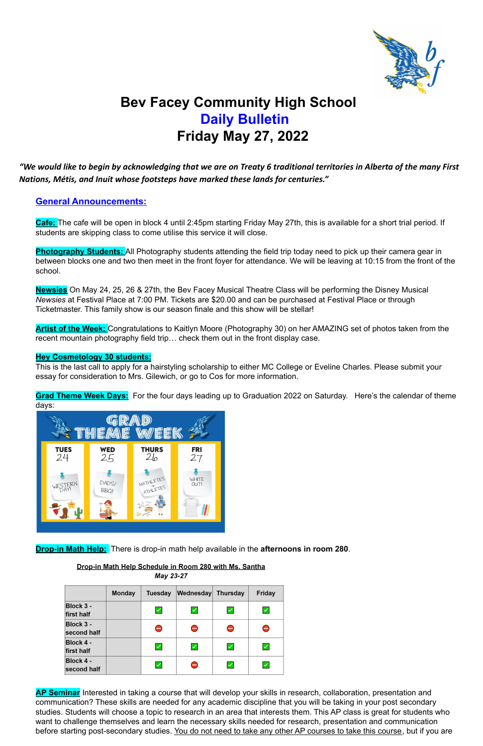

# **Bev Facey Community High School Daily Bulletin Friday May 27, 2022**

## *"We would like to begin by acknowledging that we are on Treaty 6 traditional territories in Alberta of the many First Nations, Métis, and Inuit whose footsteps have marked these lands for centuries."*

## **General Announcements:**

**Cafe:** The cafe will be open in block 4 until 2:45pm starting Friday May 27th, this is available for a short trial period. If students are skipping class to come utilise this service it will close.

**Photography Students:** All Photography students attending the field trip today need to pick up their camera gear in between blocks one and two then meet in the front foyer for attendance. We will be leaving at 10:15 from the front of the school.

**AP Seminar** Interested in taking a course that will develop your skills in research, collaboration, presentation and communication? These skills are needed for any academic discipline that you will be taking in your post secondary studies. Students will choose a topic to research in an area that interests them. This AP class is great for students who want to challenge themselves and learn the necessary skills needed for research, presentation and communication before starting post-secondary studies. You do not need to take any other AP courses to take this course, but if you are

**Newsies** On May 24, 25, 26 & 27th, the Bev Facey Musical Theatre Class will be performing the Disney Musical *Newsies* at Festival Place at 7:00 PM. Tickets are \$20.00 and can be purchased at Festival Place or through Ticketmaster. This family show is our season finale and this show will be stellar!

**Artist of the Week:** Congratulations to Kaitlyn Moore (Photography 30) on her AMAZING set of photos taken from the recent mountain photography field trip… check them out in the front display case.

#### **Hey Cosmetology 30 students:**

This is the last call to apply for a hairstyling scholarship to either MC College or Eveline Charles. Please submit your essay for consideration to Mrs. Gilewich, or go to Cos for more information.

**Grad Theme Week Days:** For the four days leading up to Graduation 2022 on Saturday. Here's the calendar of theme days:



**Drop-in Math Help:** There is drop-in math help available in the **afternoons in room 280**.

#### Drop-in Math Help Schedule in Room 280 with Ms. Santha May 23-27

|                          | <b>Monday</b> | Tuesday                  | <b>Wednesday</b>         | <b>Thursday</b>      | <b>Friday</b>    |
|--------------------------|---------------|--------------------------|--------------------------|----------------------|------------------|
| Block 3 -<br>first half  |               | $\checkmark$             | $\blacktriangledown$     | $\prec$              | $\checkmark$     |
| Block 3 -<br>second half |               | $\overline{\phantom{0}}$ | $\ominus$                | Θ                    | Θ                |
| Block 4 -<br>first half  |               | $\blacktriangledown$     | $\blacktriangleright$    | $\blacktriangledown$ | $\blacktriangle$ |
| Block 4 -<br>second half |               | $\checkmark$             | $\overline{\phantom{0}}$ | $\checkmark$         | $\checkmark$     |